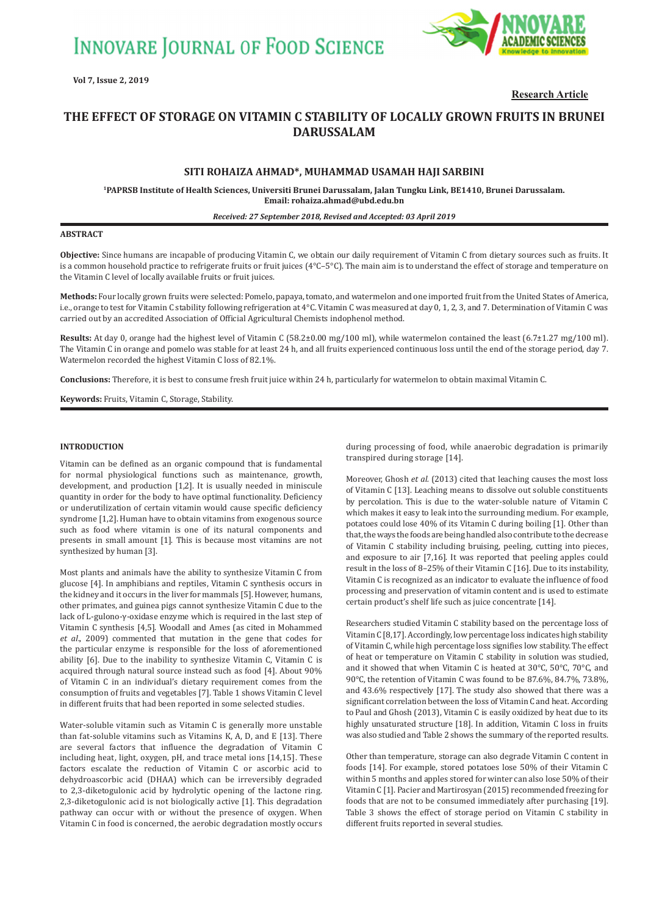**INNOVARE JOURNAL OF FOOD SCIENCE** 



**Research Article**

# **THE EFFECT OF STORAGE ON VITAMIN C STABILITY OF LOCALLY GROWN FRUITS IN BRUNEI DARUSSALAM**

# **SITI ROHAIZA AHMAD\*, MUHAMMAD USAMAH HAJI SARBINI**

**1PAPRSB Institute of Health Sciences, Universiti Brunei Darussalam, Jalan Tungku Link, BE1410, Brunei Darussalam. Email: rohaiza.ahmad@ubd.edu.bn**

#### *Received: 27 September 2018, Revised and Accepted: 03 April 2019*

#### **ABSTRACT**

**Objective:** Since humans are incapable of producing Vitamin C, we obtain our daily requirement of Vitamin C from dietary sources such as fruits. It is a common household practice to refrigerate fruits or fruit juices  $(4^{\circ}C - 5^{\circ}C)$ . The main aim is to understand the effect of storage and temperature on the Vitamin C level of locally available fruits or fruit juices.

**Methods:** Four locally grown fruits were selected: Pomelo, papaya, tomato, and watermelon and one imported fruit from the United States of America, i.e., orange to test for Vitamin C stability following refrigeration at 4°C. Vitamin C was measured at day 0, 1, 2, 3, and 7. Determination of Vitamin C was carried out by an accredited Association of Official Agricultural Chemists indophenol method.

**Results:** At day 0, orange had the highest level of Vitamin C (58.2±0.00 mg/100 ml), while watermelon contained the least (6.7±1.27 mg/100 ml). The Vitamin C in orange and pomelo was stable for at least 24 h, and all fruits experienced continuous loss until the end of the storage period, day 7. Watermelon recorded the highest Vitamin C loss of 82.1%.

**Conclusions:** Therefore, it is best to consume fresh fruit juice within 24 h, particularly for watermelon to obtain maximal Vitamin C.

**Keywords:** Fruits, Vitamin C, Storage, Stability.

## **INTRODUCTION**

Vitamin can be defined as an organic compound that is fundamental for normal physiological functions such as maintenance, growth, development, and production [1,2]. It is usually needed in miniscule quantity in order for the body to have optimal functionality. Deficiency or underutilization of certain vitamin would cause specific deficiency syndrome [1,2]. Human have to obtain vitamins from exogenous source such as food where vitamin is one of its natural components and presents in small amount [1]. This is because most vitamins are not synthesized by human [3].

Most plants and animals have the ability to synthesize Vitamin C from glucose [4]. In amphibians and reptiles, Vitamin C synthesis occurs in the kidney and it occurs in the liver for mammals [5]. However, humans, other primates, and guinea pigs cannot synthesize Vitamin C due to the lack of L-gulono-γ-oxidase enzyme which is required in the last step of Vitamin C synthesis [4,5]. Woodall and Ames (as cited in Mohammed *et al*., 2009) commented that mutation in the gene that codes for the particular enzyme is responsible for the loss of aforementioned ability [6]. Due to the inability to synthesize Vitamin C, Vitamin C is acquired through natural source instead such as food [4]. About 90% of Vitamin C in an individual's dietary requirement comes from the consumption of fruits and vegetables [7]. Table 1 shows Vitamin C level in different fruits that had been reported in some selected studies.

Water-soluble vitamin such as Vitamin C is generally more unstable than fat-soluble vitamins such as Vitamins K, A, D, and E [13]. There are several factors that influence the degradation of Vitamin C including heat, light, oxygen, pH, and trace metal ions [14,15]. These factors escalate the reduction of Vitamin C or ascorbic acid to dehydroascorbic acid (DHAA) which can be irreversibly degraded to 2,3-diketogulonic acid by hydrolytic opening of the lactone ring. 2,3-diketogulonic acid is not biologically active [1]. This degradation pathway can occur with or without the presence of oxygen. When Vitamin C in food is concerned, the aerobic degradation mostly occurs

during processing of food, while anaerobic degradation is primarily transpired during storage [14].

Moreover, Ghosh *et al.* (2013) cited that leaching causes the most loss of Vitamin C [13]. Leaching means to dissolve out soluble constituents by percolation. This is due to the water-soluble nature of Vitamin C which makes it easy to leak into the surrounding medium. For example, potatoes could lose 40% of its Vitamin C during boiling [1]. Other than that, the ways the foods are being handled also contribute to the decrease of Vitamin C stability including bruising, peeling, cutting into pieces, and exposure to air [7,16]. It was reported that peeling apples could result in the loss of 8–25% of their Vitamin C [16]. Due to its instability, Vitamin C is recognized as an indicator to evaluate the influence of food processing and preservation of vitamin content and is used to estimate certain product's shelf life such as juice concentrate [14].

Researchers studied Vitamin C stability based on the percentage loss of Vitamin C [8,17]. Accordingly, low percentage loss indicates high stability of Vitamin C, while high percentage loss signifies low stability. The effect of heat or temperature on Vitamin C stability in solution was studied, and it showed that when Vitamin C is heated at 30°C, 50°C, 70°C, and 90°C, the retention of Vitamin C was found to be 87.6%, 84.7%, 73.8%, and 43.6% respectively [17]. The study also showed that there was a significant correlation between the loss of Vitamin C and heat. According to Paul and Ghosh (2013), Vitamin C is easily oxidized by heat due to its highly unsaturated structure [18]. In addition, Vitamin C loss in fruits was also studied and Table 2 shows the summary of the reported results.

Other than temperature, storage can also degrade Vitamin C content in foods [14]. For example, stored potatoes lose 50% of their Vitamin C within 5 months and apples stored for winter can also lose 50% of their Vitamin C [1]. Pacier and Martirosyan (2015) recommended freezing for foods that are not to be consumed immediately after purchasing [19]. Table 3 shows the effect of storage period on Vitamin C stability in different fruits reported in several studies.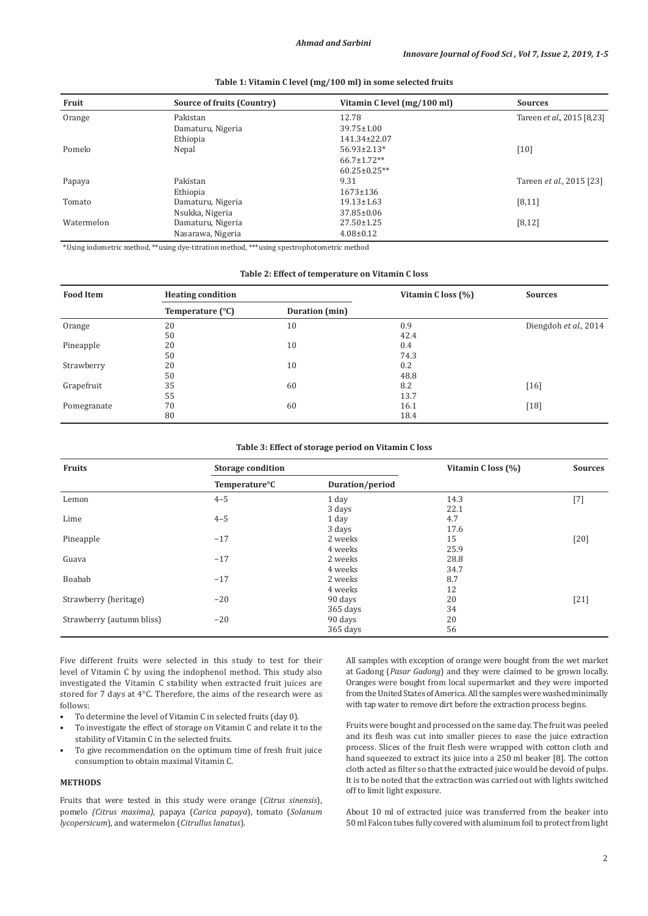| Fruit      | Source of fruits (Country) | Vitamin C level (mg/100 ml) | <b>Sources</b>                   |
|------------|----------------------------|-----------------------------|----------------------------------|
| Orange     | Pakistan                   | 12.78                       | Tareen et al., 2015 [8,23]       |
|            | Damaturu, Nigeria          | $39.75 \pm 1.00$            |                                  |
|            | Ethiopia                   | 141.34±22.07                |                                  |
| Pomelo     | Nepal                      | $56.93 \pm 2.13*$           | [10]                             |
|            |                            | $66.7 \pm 1.72**$           |                                  |
|            |                            | $60.25 \pm 0.25$ **         |                                  |
| Papaya     | Pakistan                   | 9.31                        | Tareen <i>et al.</i> , 2015 [23] |
|            | Ethiopia                   | $1673 \pm 136$              |                                  |
| Tomato     | Damaturu, Nigeria          | $19.13 \pm 1.63$            | [8, 11]                          |
|            | Nsukka, Nigeria            | $37.85 \pm 0.06$            |                                  |
| Watermelon | Damaturu, Nigeria          | $27.50 \pm 1.25$            | [8, 12]                          |
|            | Nasarawa, Nigeria          | $4.08 \pm 0.12$             |                                  |

#### **Table 1: Vitamin C level (mg/100 ml) in some selected fruits**

\*Using iodometric method, \*\*using dye-titration method, \*\*\*using spectrophotometric method

## **Table 2: Effect of temperature on Vitamin C loss**

| <b>Food Item</b> | <b>Heating condition</b> |                | Vitamin C loss (%) | <b>Sources</b>        |  |
|------------------|--------------------------|----------------|--------------------|-----------------------|--|
|                  | Temperature (°C)         | Duration (min) |                    |                       |  |
| Orange           | 20                       | 10             | 0.9                | Diengdoh et al., 2014 |  |
|                  | 50                       |                | 42.4               |                       |  |
| Pineapple        | 20                       | 10             | 0.4                |                       |  |
|                  | 50                       |                | 74.3               |                       |  |
| Strawberry       | 20                       | 10             | 0.2                |                       |  |
|                  | 50                       |                | 48.8               |                       |  |
| Grapefruit       | 35                       | 60             | 8.2                | [16]                  |  |
|                  | 55                       |                | 13.7               |                       |  |
| Pomegranate      | 70                       | 60             | 16.1               | $[18]$                |  |
|                  | 80                       |                | 18.4               |                       |  |

#### **Table 3: Effect of storage period on Vitamin C loss**

| <b>Fruits</b>             | <b>Storage condition</b>   |                 | Vitamin Closs (%) | <b>Sources</b> |
|---------------------------|----------------------------|-----------------|-------------------|----------------|
|                           | Temperature <sup>o</sup> C | Duration/period |                   |                |
| Lemon                     | $4 - 5$                    | 1 day           | 14.3              | $[7]$          |
|                           |                            | 3 days          | 22.1              |                |
| Lime                      | $4 - 5$                    | 1 day           | 4.7               |                |
|                           |                            | 3 days          | 17.6              |                |
| Pineapple                 | $-17$                      | 2 weeks         | 15                | $[20]$         |
|                           |                            | 4 weeks         | 25.9              |                |
| Guava                     | $-17$                      | 2 weeks         | 28.8              |                |
|                           |                            | 4 weeks         | 34.7              |                |
| Boabab                    | $-17$                      | 2 weeks         | 8.7               |                |
|                           |                            | 4 weeks         | 12                |                |
| Strawberry (heritage)     | $-20$                      | 90 days         | 20                | $[21]$         |
|                           |                            | 365 days        | 34                |                |
| Strawberry (autumn bliss) | $-20$                      | 90 days         | 20                |                |
|                           |                            | 365 days        | 56                |                |

Five different fruits were selected in this study to test for their level of Vitamin C by using the indophenol method. This study also investigated the Vitamin C stability when extracted fruit juices are stored for 7 days at 4°C. Therefore, the aims of the research were as follows:

- To determine the level of Vitamin C in selected fruits (day 0).
- To investigate the effect of storage on Vitamin C and relate it to the stability of Vitamin C in the selected fruits.
- To give recommendation on the optimum time of fresh fruit juice consumption to obtain maximal Vitamin C.

## **METHODS**

Fruits that were tested in this study were orange (*Citrus sinensis*), pomelo *(Citrus maxima)*, papaya (*Carica papaya*), tomato (*Solanum lycopersicum*), and watermelon (*Citrullus lanatus*)*.*

All samples with exception of orange were bought from the wet market at Gadong (*Pasar Gadong*) and they were claimed to be grown locally. Oranges were bought from local supermarket and they were imported from the United States of America. All the samples were washed minimally with tap water to remove dirt before the extraction process begins.

Fruits were bought and processed on the same day. The fruit was peeled and its flesh was cut into smaller pieces to ease the juice extraction process. Slices of the fruit flesh were wrapped with cotton cloth and hand squeezed to extract its juice into a 250 ml beaker [8]. The cotton cloth acted as filter so that the extracted juice would be devoid of pulps. It is to be noted that the extraction was carried out with lights switched off to limit light exposure.

About 10 ml of extracted juice was transferred from the beaker into 50 ml Falcon tubes fully covered with aluminum foil to protect from light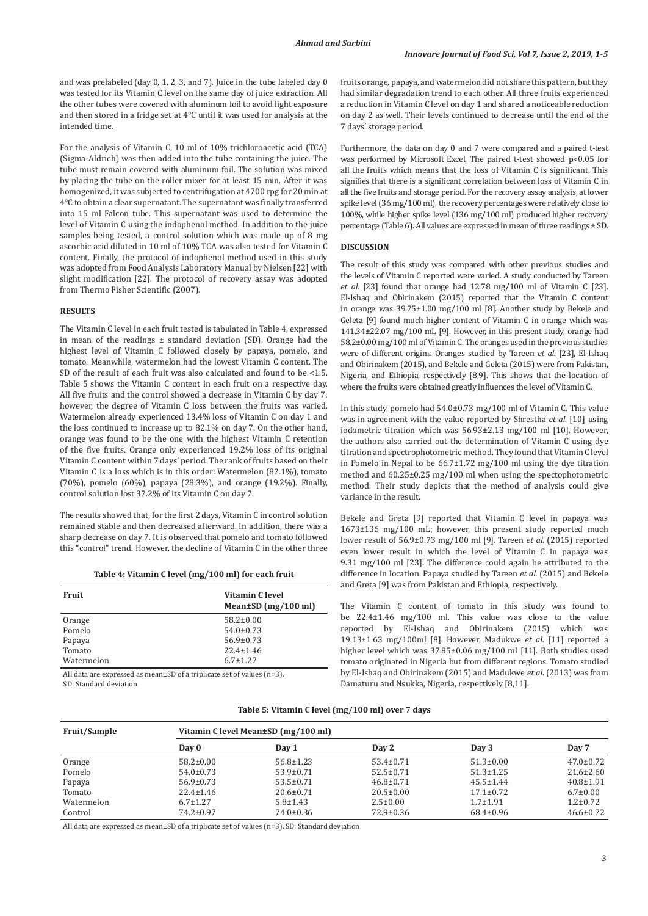and was prelabeled (day 0, 1, 2, 3, and 7). Juice in the tube labeled day 0 was tested for its Vitamin C level on the same day of juice extraction. All the other tubes were covered with aluminum foil to avoid light exposure and then stored in a fridge set at 4°C until it was used for analysis at the intended time.

For the analysis of Vitamin C, 10 ml of 10% trichloroacetic acid (TCA) (Sigma-Aldrich) was then added into the tube containing the juice. The tube must remain covered with aluminum foil. The solution was mixed by placing the tube on the roller mixer for at least 15 min. After it was homogenized, it was subjected to centrifugation at 4700 rpg for 20 min at 4°C to obtain a clear supernatant. The supernatant was finally transferred into 15 ml Falcon tube. This supernatant was used to determine the level of Vitamin C using the indophenol method. In addition to the juice samples being tested, a control solution which was made up of 8 mg ascorbic acid diluted in 10 ml of 10% TCA was also tested for Vitamin C content. Finally, the protocol of indophenol method used in this study was adopted from Food Analysis Laboratory Manual by Nielsen [22] with slight modification [22]. The protocol of recovery assay was adopted from Thermo Fisher Scientific (2007).

#### **RESULTS**

The Vitamin C level in each fruit tested is tabulated in Table 4, expressed in mean of the readings ± standard deviation (SD). Orange had the highest level of Vitamin C followed closely by papaya, pomelo, and tomato. Meanwhile, watermelon had the lowest Vitamin C content. The SD of the result of each fruit was also calculated and found to be <1.5. Table 5 shows the Vitamin C content in each fruit on a respective day. All five fruits and the control showed a decrease in Vitamin C by day 7; however, the degree of Vitamin C loss between the fruits was varied. Watermelon already experienced 13.4% loss of Vitamin C on day 1 and the loss continued to increase up to 82.1% on day 7. On the other hand, orange was found to be the one with the highest Vitamin C retention of the five fruits. Orange only experienced 19.2% loss of its original Vitamin C content within 7 days' period. The rank of fruits based on their Vitamin C is a loss which is in this order: Watermelon (82.1%), tomato (70%), pomelo (60%), papaya (28.3%), and orange (19.2%). Finally, control solution lost 37.2% of its Vitamin C on day 7.

The results showed that, for the first 2 days, Vitamin C in control solution remained stable and then decreased afterward. In addition, there was a sharp decrease on day 7. It is observed that pomelo and tomato followed this "control" trend. However, the decline of Vitamin C in the other three

**Table 4: Vitamin C level (mg/100 ml) for each fruit**

| <b>Fruit</b> | Vitamin C level<br>Mean $\pm$ SD (mg/100 ml) |  |  |
|--------------|----------------------------------------------|--|--|
| Orange       | $58.2 \pm 0.00$                              |  |  |
| Pomelo       | $54.0 \pm 0.73$                              |  |  |
| Papaya       | $56.9 \pm 0.73$                              |  |  |
| Tomato       | $22.4 \pm 1.46$                              |  |  |
| Watermelon   | $6.7 \pm 1.27$                               |  |  |
|              |                                              |  |  |

All data are expressed as mean±SD of a triplicate set of values (n=3). SD: Standard deviation

fruits orange, papaya, and watermelon did not share this pattern, but they had similar degradation trend to each other. All three fruits experienced a reduction in Vitamin C level on day 1 and shared a noticeable reduction on day 2 as well. Their levels continued to decrease until the end of the 7 days' storage period.

Furthermore, the data on day 0 and 7 were compared and a paired t-test was performed by Microsoft Excel. The paired t-test showed p<0.05 for all the fruits which means that the loss of Vitamin C is significant. This signifies that there is a significant correlation between loss of Vitamin C in all the five fruits and storage period. For the recovery assay analysis, at lower spike level (36 mg/100 ml), the recovery percentages were relatively close to 100%, while higher spike level (136 mg/100 ml) produced higher recovery percentage (Table 6). All values are expressed in mean of three readings ± SD.

#### **DISCUSSION**

The result of this study was compared with other previous studies and the levels of Vitamin C reported were varied. A study conducted by Tareen *et al.* [23] found that orange had 12.78 mg/100 ml of Vitamin C [23]. El-Ishaq and Obirinakem (2015) reported that the Vitamin C content in orange was 39.75±1.00 mg/100 ml [8]. Another study by Bekele and Geleta [9] found much higher content of Vitamin C in orange which was 141.34±22.07 mg/100 mL [9]. However, in this present study, orange had 58.2±0.00 mg/100 ml of Vitamin C. The oranges used in the previous studies were of different origins. Oranges studied by Tareen *et al.* [23], El-Ishaq and Obirinakem (2015), and Bekele and Geleta (2015) were from Pakistan, Nigeria, and Ethiopia, respectively [8,9]. This shows that the location of where the fruits were obtained greatly influences the level of Vitamin C.

In this study, pomelo had 54.0±0.73 mg/100 ml of Vitamin C. This value was in agreement with the value reported by Shrestha *et al*. [10] using iodometric titration which was 56.93±2.13 mg/100 ml [10]. However, the authors also carried out the determination of Vitamin C using dye titration and spectrophotometric method. They found that Vitamin C level in Pomelo in Nepal to be 66.7±1.72 mg/100 ml using the dye titration method and 60.25±0.25 mg/100 ml when using the spectophotometric method. Their study depicts that the method of analysis could give variance in the result.

Bekele and Greta [9] reported that Vitamin C level in papaya was 1673±136 mg/100 mL; however, this present study reported much lower result of 56.9±0.73 mg/100 ml [9]. Tareen *et al.* (2015) reported even lower result in which the level of Vitamin C in papaya was 9.31 mg/100 ml [23]. The difference could again be attributed to the difference in location. Papaya studied by Tareen *et al.* (2015) and Bekele and Greta [9] was from Pakistan and Ethiopia, respectively.

The Vitamin C content of tomato in this study was found to be 22.4±1.46 mg/100 ml. This value was close to the value reported by El-Ishaq and Obirinakem (2015) which was 19.13±1.63 mg/100ml [8]. However, Madukwe *et al*. [11] reported a higher level which was 37.85±0.06 mg/100 ml [11]. Both studies used tomato originated in Nigeria but from different regions. Tomato studied by El-Ishaq and Obirinakem (2015) and Madukwe *et al*. (2013) was from Damaturu and Nsukka, Nigeria, respectively [8,11].

#### **Table 5: Vitamin C level (mg/100 ml) over 7 days**

| <b>Fruit/Sample</b> |                 | Vitamin C level Mean±SD (mg/100 ml) |                 |                 |                 |  |  |
|---------------------|-----------------|-------------------------------------|-----------------|-----------------|-----------------|--|--|
|                     | Day 0           | Day 1                               | Dav 2           | Day 3           | Day 7           |  |  |
| Orange              | $58.2 \pm 0.00$ | $56.8 \pm 1.23$                     | $53.4 \pm 0.71$ | $51.3 \pm 0.00$ | $47.0 \pm 0.72$ |  |  |
| Pomelo              | $54.0 \pm 0.73$ | $53.9 \pm 0.71$                     | $52.5 \pm 0.71$ | $51.3 \pm 1.25$ | $21.6 \pm 2.60$ |  |  |
| Papaya              | $56.9 \pm 0.73$ | $53.5 \pm 0.71$                     | $46.8 \pm 0.71$ | $45.5 \pm 1.44$ | $40.8 \pm 1.91$ |  |  |
| Tomato              | $22.4 \pm 1.46$ | $20.6 \pm 0.71$                     | $20.5 \pm 0.00$ | $17.1 \pm 0.72$ | $6.7 \pm 0.00$  |  |  |
| Watermelon          | $6.7 \pm 1.27$  | $5.8 \pm 1.43$                      | $2.5 \pm 0.00$  | $1.7 \pm 1.91$  | $1.2 \pm 0.72$  |  |  |
| Control             | $74.2 \pm 0.97$ | $74.0 \pm 0.36$                     | $72.9 \pm 0.36$ | $68.4 \pm 0.96$ | $46.6 \pm 0.72$ |  |  |

All data are expressed as mean±SD of a triplicate set of values (n=3). SD: Standard deviation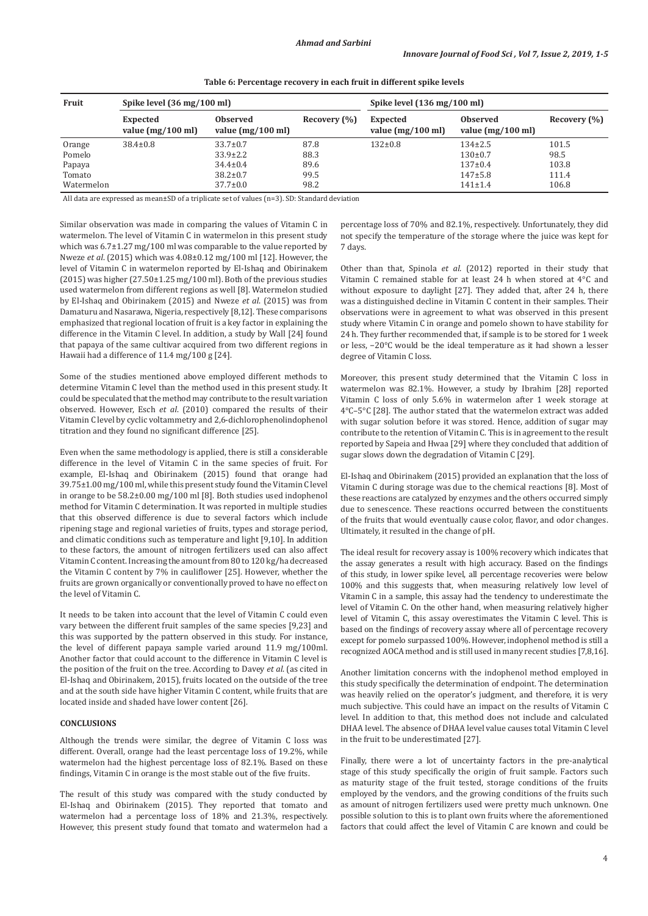| <b>Fruit</b> | Spike level (36 mg/100 ml)                     |                                                |              | Spike level $(136 \text{ mg}/100 \text{ ml})$  |                                                |                  |
|--------------|------------------------------------------------|------------------------------------------------|--------------|------------------------------------------------|------------------------------------------------|------------------|
|              | <b>Expected</b><br>value $(mg/100 \text{ ml})$ | <b>Observed</b><br>value $(mg/100 \text{ ml})$ | Recovery (%) | <b>Expected</b><br>value $(mg/100 \text{ ml})$ | <b>Observed</b><br>value $(mg/100 \text{ ml})$ | Recovery $(\% )$ |
| Orange       | $38.4 \pm 0.8$                                 | $33.7 \pm 0.7$                                 | 87.8         | $132 \pm 0.8$                                  | $134 \pm 2.5$                                  | 101.5            |
| Pomelo       |                                                | $33.9 \pm 2.2$                                 | 88.3         |                                                | $130+0.7$                                      | 98.5             |
| Papaya       |                                                | $34.4 \pm 0.4$                                 | 89.6         |                                                | $137+0.4$                                      | 103.8            |
| Tomato       |                                                | $38.2 \pm 0.7$                                 | 99.5         |                                                | $147 + 5.8$                                    | 111.4            |
| Watermelon   |                                                | $37.7 \pm 0.0$                                 | 98.2         |                                                | $141 \pm 1.4$                                  | 106.8            |

**Table 6: Percentage recovery in each fruit in different spike levels**

All data are expressed as mean±SD of a triplicate set of values (n=3). SD: Standard deviation

Similar observation was made in comparing the values of Vitamin C in watermelon. The level of Vitamin C in watermelon in this present study which was 6.7±1.27 mg/100 ml was comparable to the value reported by Nweze *et al*. (2015) which was 4.08±0.12 mg/100 ml [12]. However, the level of Vitamin C in watermelon reported by El-Ishaq and Obirinakem (2015) was higher (27.50±1.25 mg/100 ml). Both of the previous studies used watermelon from different regions as well [8]. Watermelon studied by El-Ishaq and Obirinakem (2015) and Nweze *et al*. (2015) was from Damaturu and Nasarawa, Nigeria, respectively [8,12]. These comparisons emphasized that regional location of fruit is a key factor in explaining the difference in the Vitamin C level. In addition, a study by Wall [24] found that papaya of the same cultivar acquired from two different regions in Hawaii had a difference of 11.4 mg/100 g [24].

Some of the studies mentioned above employed different methods to determine Vitamin C level than the method used in this present study. It could be speculated that the method may contribute to the result variation observed. However, Esch *et al*. (2010) compared the results of their Vitamin C level by cyclic voltammetry and 2,6-dichlorophenolindophenol titration and they found no significant difference [25].

Even when the same methodology is applied, there is still a considerable difference in the level of Vitamin C in the same species of fruit. For example, El-Ishaq and Obirinakem (2015) found that orange had 39.75±1.00 mg/100 ml, while this present study found the Vitamin C level in orange to be 58.2±0.00 mg/100 ml [8]. Both studies used indophenol method for Vitamin C determination. It was reported in multiple studies that this observed difference is due to several factors which include ripening stage and regional varieties of fruits, types and storage period, and climatic conditions such as temperature and light [9,10]. In addition to these factors, the amount of nitrogen fertilizers used can also affect Vitamin C content. Increasing the amount from 80 to 120 kg/ha decreased the Vitamin C content by 7% in cauliflower [25]. However, whether the fruits are grown organically or conventionally proved to have no effect on the level of Vitamin C.

It needs to be taken into account that the level of Vitamin C could even vary between the different fruit samples of the same species [9,23] and this was supported by the pattern observed in this study. For instance, the level of different papaya sample varied around 11.9 mg/100ml. Another factor that could account to the difference in Vitamin C level is the position of the fruit on the tree. According to Davey *et al*. (as cited in El-Ishaq and Obirinakem, 2015), fruits located on the outside of the tree and at the south side have higher Vitamin C content, while fruits that are located inside and shaded have lower content [26].

#### **CONCLUSIONS**

Although the trends were similar, the degree of Vitamin C loss was different. Overall, orange had the least percentage loss of 19.2%, while watermelon had the highest percentage loss of 82.1%. Based on these findings, Vitamin C in orange is the most stable out of the five fruits.

The result of this study was compared with the study conducted by El-Ishaq and Obirinakem (2015). They reported that tomato and watermelon had a percentage loss of 18% and 21.3%, respectively. However, this present study found that tomato and watermelon had a

percentage loss of 70% and 82.1%, respectively. Unfortunately, they did not specify the temperature of the storage where the juice was kept for 7 days.

Other than that, Spinola *et al.* (2012) reported in their study that Vitamin C remained stable for at least 24 h when stored at 4°C and without exposure to daylight [27]. They added that, after 24 h, there was a distinguished decline in Vitamin C content in their samples. Their observations were in agreement to what was observed in this present study where Vitamin C in orange and pomelo shown to have stability for 24 h. They further recommended that, if sample is to be stored for 1 week or less, −20°C would be the ideal temperature as it had shown a lesser degree of Vitamin C loss.

Moreover, this present study determined that the Vitamin C loss in watermelon was 82.1%. However, a study by Ibrahim [28] reported Vitamin C loss of only 5.6% in watermelon after 1 week storage at 4°C–5°C [28]. The author stated that the watermelon extract was added with sugar solution before it was stored. Hence, addition of sugar may contribute to the retention of Vitamin C. This is in agreement to the result reported by Sapeia and Hwaa [29] where they concluded that addition of sugar slows down the degradation of Vitamin C [29].

El-Ishaq and Obirinakem (2015) provided an explanation that the loss of Vitamin C during storage was due to the chemical reactions [8]. Most of these reactions are catalyzed by enzymes and the others occurred simply due to senescence. These reactions occurred between the constituents of the fruits that would eventually cause color, flavor, and odor changes. Ultimately, it resulted in the change of pH.

The ideal result for recovery assay is 100% recovery which indicates that the assay generates a result with high accuracy. Based on the findings of this study, in lower spike level, all percentage recoveries were below 100% and this suggests that, when measuring relatively low level of Vitamin C in a sample, this assay had the tendency to underestimate the level of Vitamin C. On the other hand, when measuring relatively higher level of Vitamin C, this assay overestimates the Vitamin C level. This is based on the findings of recovery assay where all of percentage recovery except for pomelo surpassed 100%. However, indophenol method is still a recognized AOCA method and is still used in many recent studies [7,8,16].

Another limitation concerns with the indophenol method employed in this study specifically the determination of endpoint. The determination was heavily relied on the operator's judgment, and therefore, it is very much subjective. This could have an impact on the results of Vitamin C level. In addition to that, this method does not include and calculated DHAA level. The absence of DHAA level value causes total Vitamin C level in the fruit to be underestimated [27].

Finally, there were a lot of uncertainty factors in the pre-analytical stage of this study specifically the origin of fruit sample. Factors such as maturity stage of the fruit tested, storage conditions of the fruits employed by the vendors, and the growing conditions of the fruits such as amount of nitrogen fertilizers used were pretty much unknown. One possible solution to this is to plant own fruits where the aforementioned factors that could affect the level of Vitamin C are known and could be